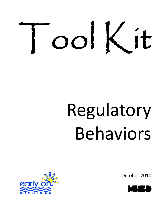

# Regulatory Behaviors

October 2010



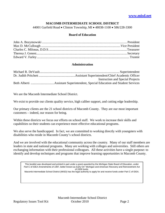#### **MACOMB INTERMEDIATE SCHOOL DISTRICT**

44001 Garfield Road • Clinton Township, MI • 48038-1100 • 586/228-3300

#### **Board of Education**

#### **Administration**

| <b>Instruction and Special Projects</b> |
|-----------------------------------------|
|                                         |

We are the Macomb Intermediate School District.

We exist to provide our clients quality service, high caliber support, and cutting edge leadership.

Our primary clients are the 21 school districts of Macomb County. They are our most important customers – indeed, our reason for being.

Within these districts we focus our efforts on school staff. We work to increase their skills and capabilities so their students can experience more effective educational programs.

We also serve the handicapped. In fact, we are committed to working directly with youngsters with disabilities who reside in Macomb County's school districts.

And we are involved with the educational community across the country. Many of our staff members are leaders in state and national programs. Many are working with colleges and universities. Still others are exchanging information with their professional colleagues. All these activities have a single purpose: to identify and develop techniques and programs that improve learning opportunities in Macomb County.

This booklet was developed and printed in part under a grant awarded by the Michigan State Board of Education, under Part C of IDEA Amendments of 1997, better known as Early On® Michigan and American Recovery and Reinvestment Act of 2009 funds.

Macomb Intermediate School District (MISD) has the legal authority to apply for and receive funds under Part C of IDEA.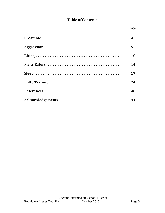# **Table of Contents**

| $\overline{\mathbf{4}}$ |
|-------------------------|
| 5                       |
| 10                      |
| 14                      |
| 17                      |
| 24                      |
| 40                      |
| 41                      |

**Page**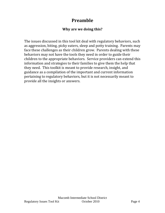# **Preamble**

# **Why are we doing this?**

The issues discussed in this tool kit deal with regulatory behaviors, such as aggression, biting, picky eaters, sleep and potty training. Parents may face these challenges as their children grow. Parents dealing with these behaviors may not have the tools they need in order to guide their children to the appropriate behaviors. Service providers can extend this information and strategies to their families to give them the help that they need. This toolkit is meant to provide research, insight, and guidance as a compilation of the important and current information pertaining to regulatory behaviors, but it is not necessarily meant to provide all the insights or answers.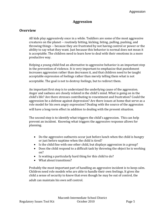## **Aggression**

#### **Overview**

All kids play aggressively once in a while. Toddlers are some of the most aggressive creatures on the planet ‐‐ routinely hitting, kicking, biting, pulling, pushing, and throwing things ‐‐ because they are frustrated by not having control or power or the ability to say what they want. Just because this behavior is normal does not mean it is acceptable. The children need to learn how to deal with their emotions in a more productive way.

Helping a young child find an alternative to aggressive behavior is an important step in the prevention of violence. It is very important to emphasize that punishment increases aggression rather than decreases it, and that children need to be taught acceptable expression of feelings rather than merely telling them what is not acceptable. The goal is not to destroy feelings, but to redirect them.

An important first step is to understand the underlying cause of the aggression. Anger and sadness are closely related in the child's mind. What is going on in the child's life? Are there stresses contributing to resentment and frustration? Could the aggression be a defense against depression? Are there issues at home that serve as a role model for his own angry expression? Dealing with the source of the aggression will have a long-term effect in addition to dealing with the present situation.

The second step is to identify what triggers the child's aggression. This can help prevent an incident. Knowing what triggers the aggressive response allows for planning.

- Do the aggressive outbursts occur just before lunch when the child is hungry or just before naptime when the child is tired?
- Is the child fine with one other child, but displays aggression in a group?
- Does the child respond to a difficult task by throwing the object he is working on?
- Is waiting a particularly hard thing for this child to do?
- What about transitions?

Probably the most important part of handling an aggressive incident is to keep calm. Children need role models who are able to handle their own feelings. It gives the child a sense of security to know that even though he may be out of control, the adult can maintain his own self control.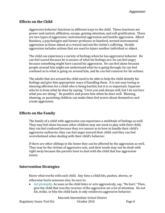## **Effects on the Child**

Aggressive behavior functions in different ways to the child. These functions are power and control, affiliation, escape, gaining attention, and self‐gratification. There are two types of aggression: instrumental aggression and hostile aggression. Albert Bandura, a psychologist and former professor at Stanford, termed instrumental aggression as those aimed at a reward and not the victim's suffering. Hostile aggression includes actions that are used to injure another individual or object.

The child can experience a variety of feelings when he has aggressive behavior. He can feel scared because he is unsure of what his feelings are; he can feel angry because something might have caused his aggression. He can feel alone because people around him might not understand what he is going through; he can feel confused as to what is going on around him, and he can feel remorse for his actions.

The adults that are around the child need to be able to help the child identify his feelings and give him appropriate ways of handling them. It is not easy loving or showing affection for a child who is being hurtful, but it is so important. Separate who he is from what he does by saying, "I love you and always will, but I do not love what you are doing." Be positive and praise him when he does well. Blaming, shaming, or punishing children can make them feel worse about themselves and create aggression.

## **Effects on the Family**

The family of a child with aggression can experience a multitude of feelings as well. They may feel alone because other children may not want to play with their child; they can feel confused because they are unsure as to how to handle their child's aggressive outbursts; they can feel anger toward their child; and they can feel overwhelmed when dealing with their child's behavior.

If there are other siblings in the home they can be affected by the aggression as well. They may be the victims of aggressive acts, and their needs may not be dealt with right away because the parents have to deal with the child that has aggression issues.

## **Intervention Strategies**

Know what works with each child. Any time a child hits, pushes, shoves, or otherwise hurts someone else, be sure to:

• Act promptly. As soon as the child bites or acts aggressively, say, "No hurt." Then, give the child that was the receiver of the aggressive act a lot of attention. Do not hit, strike, or bite the child back; it only reinforces aggressive behavior.

Macomb Intermediate School District Regulatory Issues Tool Kit Correction Correction Correction Page 6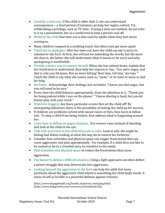- Consider a time-out. If the child is older than 2, she can understand consequences ‐‐ a brief period of isolation can help her regain control. Try withholding a privilege, such as TV time. If using a time out method, do not refer to it as a punishment, but as a useful tool to help a person cool off.
- Model to the child that time out is also used by adults when they feel stress coming on.
- Many children respond to a soothing touch, but others just get more upset.
- Teach her to apologize. After her time-out, have the child say she is sorry to whomever she hurt. At first, she will just be mimicking the words, but the more she does it, the better she will understand what it means to be sorry and why apologizing is worthwhile.
- Provide a better way to express herself. When she has calmed down, explain that her frustration is understood, then help her express it. Say, "You were angry, and that is why you hit Jason. But no more hitting! Next time, tell him, 'my toys.'" Teach the child to say what she wants, such as, "mine," or to come to mom or dad for help.
- Set limits. Acknowledge their feelings, but set limits: "I know you feel angry, but you still need to be nice."
- Every time the child behaves appropriately, draw his attention to it. "Thank you for being patient while I was on the phone." "I know sharing is hard, but you let Jimmy play with your truck."
- Watch for triggers. Are there particular events that set the child off? By anticipating behaviors, there is the possibility of setting the child up for success.
- If children see problems solved with raised voices or fists, they learn to follow suit. To stop a child from being violent, first address what is happening around her.
- Learn how to diffuse an angry situation. Use a lower voice instead of shouting and look at the child in the eye.
- Talk with and listen to the child when she is calm. Look at why she might be feeling bad before looking at what she may do to control her behavior.
- Consider how schedules and physical space can trigger frustrations that can cause aggression and plan appropriately. For example, if a child does not like to be rushed or be in a crowded area, be sensitive to his needs.
- Plan schedules and physical space to reduce the frustrations that cause aggression.
- Use humor to defuse a difficult situation. Using a light approach can often deflect a power struggle that may deteriorate into aggression.
- Looking beyond the aggression to the hurt can help the adult feel more positively about the aggressive child which is something the child badly needs. A sense of self as lovable is a powerful defense against violence.

([http://www.dupagehealth.org/health\\_ed/parent\\_managin](http://www.kidsgrowth.com/resources/articledetail.cfm)g.html) (http://www.kidsgrowth.com/resources/articledetail.cfm)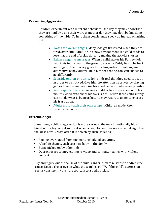#### **Preventing Aggression**

Children experiment with different behaviors. One day they may show that they are mad by using their words; another day they may do it by knocking something off the table. To help them consistently speak up instead of lashing out:

- Watch for warning signs. Many kids get frustrated when they are tired, over‐stimulated, or in a new environment. If a child tends to lose it at the end of a play date, try making the activity shorter.
- Balance negative messages. When a child makes his Barney doll knock his teddy bear to the ground, ask why Teddy has to be hurt and suggest that Barney gives him a hug instead. Showing him alternative behaviors will help him see that he, too, can choose to act differently.
- Set aside one-on-one time. Some kids feel that they need to act up in order to be noticed. Give him the attention he craves by playing games together and noticing his good behavior whenever possible.
- Keep expectations real. Asking a toddler to always chew with his mouth closed or to share his toys is a tall order. If the child simply can not do what is being asked, he may resort to anger to express his frustration.
- Adults must watch their own temper. Children model their parent's behavior.

#### **Extreme Anger**

Sometimes, a child's aggression is more serious. She may intentionally hit a friend with a toy, or get so upset when a Lego tower does not come out right that she kicks a wall. Most often it is driven by such issues as:

- Feeling overloaded from too many scheduled activities.
- A big life change, such as a new baby in the family.
- Being picked on by other kids.
- Overexposure to movies, music, video and computer games with violent content.

Try and figure out the cause of the child's anger, then take steps to address the cause. Keep a closer eye on what she watches on TV. If the child's aggression seems consistently over the top, talk to a pediatrician.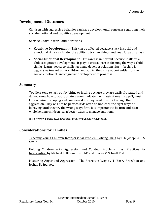#### **Developmental Outcomes**

Children with aggressive behavior can have developmental concerns regarding their social‐emotional and cognitive development.

#### **Service Coordinator Considerations**

- **Cognitive Development** This can be affected because a lack in social and emotional skills can hinder the ability to try new things and keep focus on a task.
- **SocialEmotional Development** This area is important because it affects a child's cognitive development. It plays a critical part in forming the way a child thinks, learns, reacts to challenges, and develops relationships. If a child is aggressive toward other children and adults, they miss opportunities for their social, emotional, and cognitive development to progress.

#### **Summary**

Toddlers tend to lash out by biting or hitting because they are easily frustrated and do not know how to appropriately communicate their frustrations. By age 3, most kids acquire the coping and language skills they need to work through their aggression. They will not be perfect. Kids often do not learn the right ways of behaving until they try the wrong ways first. It is important to be firm and clear while helping children learn better ways to manage emotions.

(http://www.parenting.com/article/Toddler/Behavior/Aggression)

#### **Considerations for Families**

Teaching Young Children Interpersonal Problem‐Solving Skills by G.E. Joseph & P.S. Strain

Helping Chi[ldren with Aggression and Conduct Problems: Best](http://www.amazon.com/Mastering-Anger-Aggression-Brazelton-Way/dp/0738210064/ref=sr_1_25?ie=UTF8&s=books&qid=1277259080&sr=1-25) Practices for Intervention by Michael L. Bloomquist PhD and Steven [V. Sch](http://www.amazon.com/T.-Berry-Brazelton/e/B001I9TV4S/ref=sr_ntt_srch_lnk_1?_encoding=UTF8&qid=1277259080&sr=1-25)nell Phd

[M](http://www.amazon.com/Mastering-Anger-Aggression-Brazelton-Way/dp/0738210064/ref=sr_1_25?ie=UTF8&s=books&qid=1277259080&sr=1-25)astering Anger and Aggression - The Brazelton Way by T. Berry Brazelton and Joshua D. Sparrow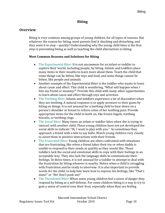# **Biting**

## **Overview**

Biting is very common among groups of young children, for all types of reasons. But whatever the reason for biting, most parents find it shocking and disturbing, and they want it to stop – quickly! Understanding why the young child bites is the first step in preventing biting as well as teaching the child alternatives to biting.

#### **Most Common Reasons and Solutions for Biting**

- The Experimental Biter: It is not uncommon for an infant or toddler to explore their world, including people, by biting. Infants and toddlers place many items in their mouths to learn more about them. Teach the child that some things can be bitten, like toys and food, and some things cannot be bitten, like people and animals.
- Another example of the Experimental Biter is the toddler who wants to learn about cause and effect. This child is wondering, "What will happen when I bite my friend or mommy?" Provide this child with many other opportunities to learn about cause and effect through toys and activities.
- The Teething Biter: Infants and toddlers experience a lot of discomfort when they are teething. A natural response is to apply pressure to their gums by biting on things. It is not unusual for a teething child to bear down on a person's shoulder or breast to relieve some of her teething pain. Provide appropriate items for the child to teeth on, like frozen bagels, teething biscuits, or teething rings.
- The Social Biter: Many times an infant or toddler bites when she is trying to interact with another child. These young children have not yet developed the social skills to indicate "Hi, I want to play with you." So sometimes they approach a friend with a bite to say hello. Watch young children very closely to assist them in positive interactions with their friends.
- The Frustrated Biter: Young children are often confronted with situations that are frustrating, like when a friend takes their toy or when daddy is unable to respond to their needs as quickly as they would like. These toddlers lack the social and emotional skills to cope with their feelings in an acceptable way. They also lack the language skills to communicate their feelings. At these times, it is not unusual for a toddler to attempt to deal with the frustration by biting whoever is nearby. Notice when a child is struggling with frustration and be ready to intervene. It is also important to provide words for the child, to help him learn how to express his feelings, like "That's mine!" or "No! Don't push me!"
- The Threatened Biter: When some young children feel a sense of danger they respond by biting as a self‐defense. For some children biting is a way to try to gain a sense of control over their lives, especially when they are feeling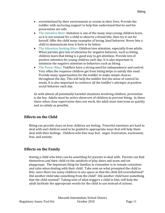- overwhelmed by their environment or events in their lives. Provide the toddler with nurturing support to help him understand that he and his possessions are safe.
- The Imitative Biter: Imitation is one of the many ways young children learn, so it is not unusual for a child to observe a friend bite, then try it out for herself. Offer the child many examples of loving, kind behavior. Never bite a child to demonstrate how it feels to be bitten.
- The Attention-Seeking Biter: Children love attention, especially from adults. When parents give lots of attention for negative behavior, such as biting, children learn that biting is a good way to get attention. Provide lots of positive attention for young children each day. It is also important to minimize the negative attention to behaviors such as biting.
- The Power Biter: Toddlers have a strong need for independence and control. Very often the response children get from biting helps to satisfy this need. Provide many opportunities for the toddler to make simple choices throughout the day. This will help the toddler feel the sense of control he needs. It is also important to reinforce all the toddler's attempts at positive social behavior each day.

As with almost all potentially harmful situations involving children, prevention is the key. Adults must be active observers of children to prevent biting. In those times when close supervision does not work, the adult must intervene as quickly and as calmly as possible.

# **Effects on the Child**

Biting can provide clues on how children are feeling. Powerful emotions are hard to deal with and children need to be guided to appropriate ways that will help them deal with their feelings. Children who bite may feel: anger, frustration, excitement, fear, and anxiety.

# **Effects on the Family**

Having a child who bites can be unsettling for parents to deal with. Parents can find themselves and their child on the outskirts of play dates and mom and tot playgroups. The important thing for families to remember is to remain consistent and calm when dealing with their child. Take note on what prompted the child to bite; were there too many children in one space so that the child felt overwhelmed? Did another child take something from the child? Did another child have something that the child wanted? Taking note of what triggers a child to bite, will help the adult facilitate the appropriate words for the child to use instead of actions.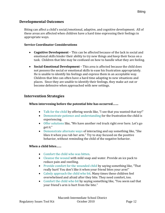## **Developmental Outcomes**

Biting can affect a child's social/emotional, adaptive, and cognitive development. All of these areas are affected when children have a hard time expressing their feelings in appropriate ways.

#### **Service Coordinator Considerations**

- **Cognitive Development** This can be affected because of the lack in social and emotional skills hinder their ability to try new things and keep their focus on a task. Children that bite may be confused on how to handle what they are feeling.
- **SocialEmotional Development** This area is affected because the child does not possess the social or emotional skills to ease his frustration appropriately. He is unable to identify his feelings and express them in an acceptable way. Children that bite can often have a hard time adapting to new situations and places. Since they are unable to identify their feelings, they make act out or become defensive when approached with new settings.

## **Intervention Strategies**

## **When intervening before the potential bite has occurred…….**

- Talk for the child by offering words like, "I see that you wanted that toy!"
- Demonstrate patience and understanding for the frustration the child is experiencing.
- Offer solutions like, "We have another red truck right over here. Let's go get it."
- Demonstrate alternate ways of interacting and say something like, "She likes it when you rub her arm." Try to stay focused on the positive behavior, without reminding the child of the negative behavior.

## **When a child bites……**

- Comfort the child who was bitten.
- Cleanse the wound with mild soap and water. Provide an ice pack to reduce pain and swelling.
- Provide comfort for the wounded child by saying something like, "That really hurt! You don't like it when your friend bites your arm!"
- Calmly approach the child who bit. Many times these children feel overwhelmed and afraid after they bite. They need comfort, too.
- Comfort the child who bit by saying something like, "You seem sad that your friend's arm is hurt from the bite."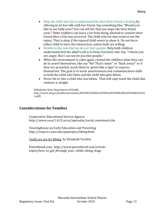- Help the child who bit to understand the hurt their friend is feeling by offering to let her talk with her friend. Say something like, "Would you like to see Sally now? You can tell her that you hope she feels better soon." Older toddlers can learn a lot from being allowed to comfort their friend after a bite has occurred. The child who bit may want to see the injury. That is okay if the injured child wants to show it. Do not force either child to have this interaction, unless both are willing.
- Reinforce the rule that we do not hurt people. Help both children understand that the adult's job is to keep everyone safe. Say, "I know you are angry. But I can not let you bite people."
- When the environment is calm again, remind the children what they can do to assert themselves, like say "No! That's mine!" or "Back away!" or if they are preverbal, teach them to 'growl like a tiger' to express themselves. The goal is to teach assertiveness and communication skills to both the child who bites and the child who gets bitten.
- Never hit or bite a child who has bitten. That will only teach the child that violence is alright.

(Oklahoma State Department of Health, http://www.ok.gov/health/documents/BITING%20IN%20THE%20TODDLER%20YEARS%20re v.pdf).

## **Considerations for Families**

Cooperative Educational Service Agency: http://www.cesa11.k12.wi.us/speceduc/social\_emotional.cfm

Clearinghouse on Early Education and Parenting: http://ceep.crc.uiuc.edu/poptopics/biting.html

Teeth are not for Biting by Elizabeth Verdick

Parenthood.com: http://www.parenthood.com/article‐ topics/how\_to\_get\_through\_your\_childs\_biting\_stage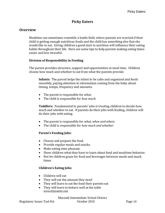# **Picky Eaters**

## **Overview**

Mealtime can sometimes resemble a battle field, where parents are worried if their child is getting enough nutritious foods and the child has something else that she would like to eat. Giving children a good start to nutrition will influence their eating habits throughout their life. Here are some tips to help parents making eating times easier and less stressful.

#### **Division of Responsibility in Feeding**

The parent provides structure, support and opportunities at meal time. Children choose how much and whether to eat from what the parents provide.

**Infants:** The parent helps the infant to be calm and organized and feeds smoothly, paying attention to information coming from the baby about timing, tempo, frequency and amounts.

- The parent is responsible for *what.*
- The child is responsible for *how much.*

**Toddlers:** Fundamental to parents' jobs is trusting children to decide how much and whether to eat. If parents do their jobs with feeding, children will do their jobs with eating.

- The parent is responsible for *what, when and where.*
- The child is responsible for *how much and whether.*

#### **Parent's Feeding Jobs:**

- Choose and prepare the food.
- Provide regular meals and snacks.
- Make eating time pleasant.
- Show children what they have to learn about food and mealtime behavior.
- Not let children graze for food and beverages between meals and snack times

#### **Children's Eating Jobs:**

- Children will eat
- They will eat the amount they need
- They will learn to eat the food their parents eat
- They will learn to behave well at the table www.ellynsatter.com

Macomb Intermediate School District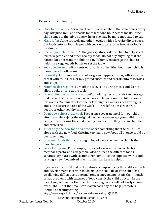#### **Expectations of Family**

- Stick to the routine-Serve meals and snacks at about the same times every day. Nix juice, milk and snacks for at least one hour before meals. If the child comes to the table hungry, he or she may be more motivated to eat.
- Make it fun-Serve broccoli and other veggies with a favorite dip or sauce. Cut foods into various shapes with cookie cutters. Offer breakfast foods for dinner.
- Recruit your child's help-At the grocery store, ask the child to help select fruits, vegetables and other healthy foods. Do not buy anything that the parent does not want the child to eat. At home, encourage the child to help rinse veggies, stir batter or set the table.
- Set a good example-If parents eat a variety of healthy foods, their child is more likely to follow suit.
- Be sneaky‐Add chopped broccoli or green peppers to spaghetti sauce, top cereal with fruit slices, or mix grated zucchini and carrots into casseroles and soups.
- Minimize distractions-Turn off the television during meals and do not allow books or toys at the table.
- Do not offer dessert as a reward-Withholding dessert sends the message that dessert is the best food, which may only increase the child's desire for sweets. You might select one or two nights a week as dessert nights, and skip dessert the rest of the week — or redefine dessert as fruit, yogurt or other healthy choices.
- Do not be a short order cook‐Preparing a separate meal for your child after he or she rejects the original meal may encourage your child's picky eating. Keep serving the child healthy choices until they become familiar and preferred.
- Offer only one new food at a time. Serve something that the child likes along with the new food. Offering too many new foods all at once could be overwhelming.
- Offer new foods first, at the beginning of a meal, when the child is the most hungry.
- Serve food plain. For example, instead of a macaroni casserole, try meatballs, pasta, and a vegetable. Also, to keep the different foods separate, try plates with sections. For some kids the opposite works and serving a new food mixed in with a familiar item is helpful.

If you are concerned that picky eating is compromising the child's growth and development, if certain foods make the child ill, or if the child has swallowing difficulties, abnormal tongue movements, stuffs their mouth, or has problems with textures of food consult the child's doctor. In the meantime, remember that the child's eating habits will not likely change overnight — but the small steps taken each day can help promote a lifetime of healthy eating.

http://www.mayoclinic.com/health/childrens‐health/HQ01107

Macomb Intermediate School District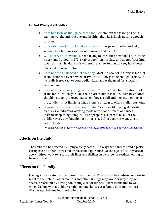#### **Do Not Worry if a Toddler:**

- Does not seem as though he eats a lot. Remember that as long as he is gaining weight and is active and healthy, then he is likely getting enough calories.
- Only eats a few kinds of food each day, such as peanut butter and jelly sandwiches, hot dogs, or chicken nuggets and french fries.
- Will not try any new foods. Keep trying to introduce new foods by putting a very small amount (1/2‐1 tablespoon) on his plate and do not force him to try or finish it. Many kids will not try a new food until they have been offered it 10 or more times.
- Does not eat a balanced diet each day. Most kids do not. As long as his diet seems balanced over a week or two, he is likely getting enough variety. If he really is not, talk to your pediatrician about the need for a vitamin supplement.
- Does not finish everything on his plate. The idea that children should sit at the table until they 'clean' their plate is out of fashion. Instead, children should be taught to recognize when they are full and then stop eating. If

the toddler is not finishing what is offered, learn to offer smaller portions.

• Does not eat what you prepare for him. Try to avoid making elaborate meals for a toddler or offering foods with a lot of spices or sauces. Instead, keep things simple. Do not prepare a separate meal for the toddler every day, but, do not be surprised if he does not want to eat 'adult' foods.

(Keeping Kids Healthy: [www.keepkidshealthy.com/toddler/feeding\\_your\\_toddler.html\)](http://www.keepkidshealthy.com/toddler/feeding_your_toddler.html)

## **Effects on the Child**

The child can be affected by being a picky eater. The way that parents handle picky eating can be either a stressful or pleasant experience. At the ages of 1.5‐3 years of age, children want to assert their likes and dislikes in a variety of settings; eating can be one of them.

## **Effects on the Family**

Having a picky eater can be stressful on a family. Parents can be confused on how to react to their child's assertiveness and other siblings may wonder why they get special treatment by having something else for dinner. There is fine line to walk when dealing with a toddler's independent choices as a family does not want to discourage their feelings and opinions.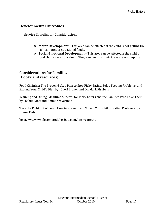## **Developmental Outcomes**

#### **Service Coordinator Considerations**

- o **Motor Development** This area can be affected if the child is not getting the right amount of nutritional foods.
- o **SocialEmotional Development** This area can be affected if the child's food choices are not valued. They can feel that their ideas are not important.

## **Considerations for Families (Books and resources)**

Food Chaining: The Proven 6‐Step Plan to Stop Picky Eating, Solve Feeding Problems, and Expand Your Child's Diet by: Cheri Fraker and Dr. Mark Fishbein

Whining and Dining: Mealtime Survival for Picky Eaters and the Families Who Love Them by: Eshun Mott and Emma Waverman

Take the Fight out of Food: How to Prevent and Solved Your Child's Eating Problems by: Donna Fish

http://www.wholesometoddlerfood.com/pickyeater.htm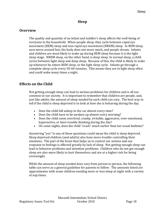## **Sleep**

#### **Overview**

The quality and quantity of an infant and toddler's sleep affects the well-being of everyone in the household. When people sleep, they cycle between rapid eye movement (REM) sleep and non‐rapid eye movement (NREM) sleep. In REM sleep, eyes move around fast, the body does not move much, and people dream. Infants and children are most likely to wake up during REM sleep because it is the light sleep stage. NREM sleep, on the other hand, is deep sleep. In normal sleep, a child cycles between light sleep and deep sleep. Because of this, the child is likely to wake up whenever he enters REM sleep, or the light sleep cycle. Infants go through a complete sleep cycle every 50‐60 minutes. This means they are in light sleep often and could wake many times a night.

## **Effects on the Child**

Not getting enough sleep can lead to serious problems for children and is all too common in our society. It is important to remember that children are people, and, just like adults, the amount of sleep needed by each child can vary. The best way to tell if the child is sleep deprived is to look at how she is behaving during the day.

- Does the child fall asleep in the car almost every time?
- Does the child have to be awaken up almost every morning?
- Does the child seem overtired, cranky, irritable, aggressive, over-emotional, hyperactive, or have trouble thinking during the day?
- On some nights, does the child "crash" much earlier than her usual bedtime?

Answering "yes" to any of these questions could mean the child is sleep deprived. Sleep deprived children (and adults) also have more trouble controlling their emotions. The part of the brain that helps us to control our actions and our response to feelings is affected greatly by lack of sleep. Not getting enough sleep can lead to behavi[or problems and attention prob](http://www.pediatrics.org/cgi/content/full/107/2/e23)lems. Children who do not get enough sleep are also more likely to hurt themselves and are at a higher risk for being overweight.

While the amount of sleep needed does vary from person to person, the following table can serve as a general guideline for parents to follow. The amounts listed are approximates with some children needing more or less sleep at night with a variety of nap times.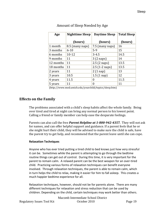| Age       | <b>Nighttime Sleep</b> | <b>Daytime Sleep</b> | <b>Total Sleep</b> |
|-----------|------------------------|----------------------|--------------------|
|           | (hours)                | (hours)              | (hours)            |
| 1 month   | 8.5 (many naps)        | 7.5 (many naps)      | 16                 |
| 3 months  | $6 - 10$               | $5-9$                | 15                 |
| 6 months  | $10 - 12$              | $3 - 4.5$            | 14.5               |
| 9 months  | 11                     | $3(2$ naps)          | 14                 |
| 12 months | 11                     | 2.5(2 naps)          | 13.5               |
| 18 months | 11                     | $2.5$ (1-2 naps)     | 13.5               |
| 2 years   | 11                     | $2(1$ nap)           | 13                 |
| 3 years   | 10.5                   | $1.5(1 \text{ nap})$ | 12                 |
| 4 years   | 11.5                   | $\theta$             | 11.5               |
| 5 years   | 11                     | 0                    | 11                 |

Amount of Sleep Needed by Age

(http://www.med.umich.edu/yourchild/topics/sleep.htm)

## **Effects on the Family**

The problems associated with a child's sleep habits affect the whole family. Being over tired and tired at night can bring any normal person to his lowest point. Calling a friend or family member can help ease the desparate feelings.

 Parents can also call the free *Parent Helpline at 18009424357.* They will not ask for names, and can offer helpful support and guidance. If a parent feels that he or she might hurt their child, they will be advised to make sure the child is safe, have the parent try to get help, and recommend that the parent leave until she can cope.

#### **Relaxation Techniques**

 Anyone who has ever tried putting a tired child to bed knows just how very stressful it can be. Sometimes while the parent is attempting to go through the bedtime routine things can get out of control. During this time, it is very important for the parent to remain calm. A relaxed parent can be the best weapon for an over‐tired child. Practicing various forms of relaxation techniques can benefit everyone involved. Through relaxation techniques, the parent is able to remain calm, which in turn helps the child to relax, making it easier for him to fall asleep. This creates a much happier bedtime experience for all.

 Relaxation techniques, however, should not be for parents alone. There are many different techniques for relaxation and stress reduction that can be used by children. Depending on the child, certain techniques may work better than others.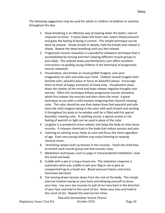The following suggestions may be used for adults or children at bedtime or anytime throughout the day:

- 1. Deep breathing is an effective way of slowing down the body's natural response to stress. It slows down the heart rate, lowers blood pressure and gives the feeling of being in control. This simple technique can be done by anyone. Simply breath in deeply, hold the breath and release it slowly. Repeat the deep breathing until you feel relaxed.
- 2. Progressive muscle relaxation is a wonderful relaxation technique that is accomplished by tensing and then relaxing different muscle groups in your [body.](http://stress.lovetoknow.com/) The website [www.yourfamilyclinic.com](http://www.yourfamilyclinic.com/) offers excellent instructions on guiding young children in the technique of progressive muscle relaxation.
- 3. Visualization, also known as visual guided [imagery,](http://stress.lovetoknow.com/Free_Guided_Relaxation) uses your imagination to calm and relax your mind. Children should imagine their favorite calm, peaceful place or focus on beautiful places. Encourage them to think of happy memories of loved ones. Visualization *slows down the chatter of the mind* and helps release negative thoughts and worries. Often this technique follows progressive muscle relaxation, which first relaxes the muscles and then calms the mind. A great technique to use with a child involves imagining their favorite relaxing color. The color should be one that makes them feel peaceful and safe. Have the child imagine taking in the color with each breath and sending it throughout his body as he exhales until he is filled with his special beautiful, relaxing color. A soothing sound, a special aroma or the feeling of warmth or light can be used in place of the color.
- 4. Laughter is a wonderful stress reliever and helps the body to relax tense muscles. It releases [chemicals](http://stress.lovetoknow.com/) in the body that reduce tension and pain.
- 5. Listening to calming music helps to calm and focus the mind regardless of age. Even very young children may enjoy listening to relaxing classical music.
- 6. Stretching relaxes built up tension in the muscles. Teach the child how to stretch each muscle group and feel muscles relax.
- 7. [Meditation](http://www.susankramer.com/TeenMeditation.html) techniques, such as yoga or transcendental meditation, relax the mind and body.
- 8. Cuddle with a pet or a hug a loved one. The relaxation response is automatic when you cuddle or pet your dog or cat or give an unexpected hug to a loved one. Blood pressure lowers and stress hormones decrease.
- 9. Toe tensing draws tension down from the rest of the body. This simple exercise involves laying on your back and allowing yourself to sense your toes. Use your toe muscles to pull all ten toes back in the direction of your face and hold to the count of ten. Relax your toes and hold to the count of ten. Repeat the [exercise](http://stress.lovetoknow.com/) ten times.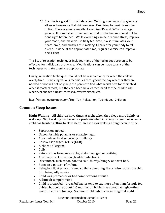10. Exercise is a great form of relaxation. Walking, running and [playing](http://stress.lovetoknow.com/Stress_Relief_Toys) are all ways to exercise that children love. Exercising to music is another option. There are many excellent exercise CDs and DVDs for all age groups. It is important to remember that this technique should not be done right before bed. While exercising can help reduce stress, improve your mood, and make you initially feel tired, it also stimulates your heart, brain, and muscles thus making it harder for your body to fall asleep. If done at the appropriate time, regular exercise can improve one's sleep.

This list of relaxation techniques includes many of the techniques proven to be effective for individuals of any age. Modifications can be made to any of the techniques to make them age appropriate.

Finally, relaxation techniques should not be reserved only for when the child is overly‐tired. Practicing various techniques throughout the day whether they are needed or not will not only help the parent to find what works best for their child when it matters most, but they can become a learned habit for the child to use whenever she feels upset, stressed, overwhelmed, etc.

http://stress.lovetoknow.com/Top Ten Relaxation Techniques Children

## **Common Sleep Issues**

**Night [Waking](http://www.med.umich.edu/yourchild/topics/#wake)** – All children have times at night when they sleep more lightly or wake up. Night waking can become a problem when it is very frequent or when a child has trouble getting back to sleep. Reasons for waking at night can include:

- [Separation anxiety.](http://www.nlm.nih.gov/medlineplus/foodallergy.html)
- Uncomfortable pajamas or scra[tc](http://digestive.niddk.nih.gov/ddiseases/pubs/gerdinfant/)hy ta[gs](http://www.umm.edu/careguides/allergy/allergy_infants.html).
- [A form](http://www.med.umich.edu/yourchild/topics/colic.htm)ula or food s[ensitivity or](http://digestive.niddk.nih.gov/ddiseases/pubs/gerdinfant/) allergy.
- [•](http://digestive.niddk.nih.gov/ddiseases/pubs/gerdinfant/) Gastro-esophageal reflux (GER).
- [Airbo](http://kidney.niddk.nih.gov/kudiseases/pubs/utichildren/)rne allergens.
- [•](http://www.med.umich.edu/yourchild/topics/colic.htm) Colic.
- Pain, such as from an earache, abdominal gas, or teething.
- A urinary tract infection (bladder infection).
- Discomfort, such as too hot, too cold, thirsty, hungry or a wet bed.
- Being in a pattern of waking.
- Being in a light phase of sleep so that something like a noise rouses the child into being fully awake.
- Child was premature or had complications at birth.
- A difficult temperament.
- Child is breastfed breasfed babies tend to eat more often than formula fed babies, but before about 4‐6 months, all babies *need* to eat at night—they wake up and are hungry. Six‐month‐old babies can go longer at night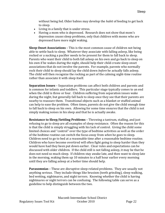without being fed. Older babies may develop the *habit* of feeding to get back to sleep.

- Living in a family that is under stress.
- Having a mom who is depressed. Research does not show that mom's depression *causes* sleep problems, only that children with moms who are depressed have more night waking.

**Sleep Onset [Associations](http://www.med.umich.edu/yourchild/topics/#onset)** – This is the most common cause of children not being able to settle back to sleep. Whatever they associate with falling asleep, like being rocked or a sucking a pacifier needs to be present for them to fall back to sleep. Parents who want their child to both fall asleep on his own and go back to sleep on his own if he wakes during the night, should help their child create sleep onset associations that do not involve the parents. For example, parents who normally rock their child to sleep should lay the child down *before* he actually falls asleep. The child will then recognize the rocking as part of the calming night-time routine rather than associate it with sleep itself.

**[Separation](http://www.med.umich.edu/yourchild/topics/#sep) Issues** – Separation problems can affect both children and parents and is common for infants and toddlers. This particular stage typically comes to an end when the child is three or four. Children suffering from separation issues wake during the night, but generally fall back to sleep once they see that their parents are nearby to reassure them. Transitional objects such as a blanket or stuffed animal can help to ease the problem. Often times, parents do not give the child enough time to fall back to sleep on his own. Allowing for some time ensures that the child is not simply making noises in his sleep and that he is actually awake.

**Resistance to Sleep/Settling Problems** – Throwing a tantrum, stalling, and just refusing to go to sleep are all examples of sleep resistance. Often the reason for this is that the child is simply struggling with his lack of control. Giving the child some limited choices and "control" over the type of bedtime activities as well as the order of the bedtime routine can switch the focus away from *when* he goes to sleep. Children need to go to bed at a reasonable time after a reasonable bedtime routine. Children who have become overtired will often fight going to sleep harder than they would have had they been put down earlier. Clear rules and expectations can be discussed with older children. If the child still is not falling asleep, it may be that he does not need so much sleep. If children stay awake late, and then want to sleep late in the morning, waking them up 10 minutes to a half hour earlier every morning until they are falling asleep at a better time should help.

**[Parasomnias](http://www.med.umich.edu/yourchild/topics/#para)** – These are disruptive sleep-related problems. They are usually not anything serious. They include things like brusixm (teeth grinding), sleep walking, bed wetting, nightmares, and night terrors. Knowing whether the child is having nightmares or night terrors can be confusing. The following table can serve as a guideline to help distinguish between the two.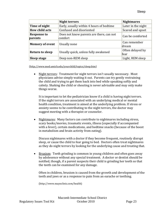|                               | <b>Night terrors</b>                                | <b>Nightmares</b>        |
|-------------------------------|-----------------------------------------------------|--------------------------|
| Time of night                 | Early, usually within 4 hours of bedtime            | Later in the night       |
| <b>How child acts</b>         | Confused and disoriented                            | Scared and upset         |
| <b>Response to</b><br>parents | Does not know parents are there, can not<br>comfort | Can be comforted         |
| <b>Memory of event</b>        | Usually none                                        | Can remember<br>dream    |
| <b>Return to sleep</b>        | Usually quick, unless fully awakened                | Often delayed by<br>fear |
| Sleep stage                   | Deep non-REM sleep                                  | Light, REM sleep         |

([http://ww](http://www.med.umich.edu/yourchild/topics/sleep.htm)w.med.umich.edu/yourchild/topics/sleep.htm)

• Night terrors: Treatment for night terrors isn't usually necessary. Most physicians advise simply waiting it out. Parents can try gently restraining the child and trying to get them back into bed while speaking softly and calmly. Shaking the child or shouting is never advisable and may only make things worse.

It is important to let the pediatrician know if a child is having night terrors. If the night terrors are associated with an underlying medical or mental health condition, treatment is aimed at the underlying problem. If stress or anxiety seems to be contributing to the night terrors, the doctor may suggest meeting with a therapist or counselor.

• Nightmares: Many factors can contribute to nightmares including stress, scary books/movies, traumatic events, illness (especially if accompanied with a fever), certain medications, and bedtime snacks (because of the boost in metabolism and brain activity from eating).

Discuss nightmares with a doctor if they become frequent, routinely disrupt sleep, or cause the child to fear going to bed. Doctors often treat nightmares as they do night terrors by looking for the underlying cause and treating that.

• Bruxism: Teeth grinding is common in young children and often goes away by adolesence without any special treatment. A doctor or dentist should be notified, though, if a parent suspects their child is grinding her teeth so that the teeth can be examined for any damage.

Often in children, bruxism is caused from the growth and development of the teeth and jaws or as a response to pain from an earache or teething.

(http://www.mayoclinic.com/health)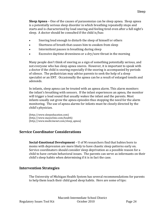**Sleep Apnea** – One of the causes of parasomnias can be sleep apnea. Sleep apnea is a potentially serious sleep disorder in which breathing repeatedly stops and starts and is characterized by loud snoring and feeling tired even after a full night's sleep. A doctor should be consulted if the child is/has:

- Snoring loud enough to disturb the sleep of himself or others
- Shortness of breath that causes him to awaken from sleep
- Intermittent pauses in breathing during sleep
- Excessive daytime drowsiness or a dry/sore throat in the morning

Many people don't think of snoring as a sign of something potentially serious, and not everyone who has sleep apnea snores. However, it is important to speak with a doctor if the child is snoring especially if the snoring is accompanied by periods of silence. The pediatrician may advise parents to seek the help of a sleep specialist or an ENT. Occasionally the apnea can be a result of enlarged tonsils and adenoids.

In infants, sleep apnea can be treated with an apnea alarm. This alarm monitors the infant's breathing with sensors. If the infant experiences an apnea, the monitor will trigger a loud sound that usually wakes the infant and the parents. Most infants usually out grow the apnea episodes thus stopping the need for the alarm monitoring. The use of apnea alarms for infants must be closely directed by the child's physician.

(http://www.sleepeducation.com) (http://www.mayoclinic.com/health) (http://www.medicinenet.com/sleep\_apnea)

## **Service Coordinator Considerations**

**SocialEmotional Development** – U of M researchers find that babies born to moms with depression are more likely to have chaotic sleep patterns early on. Service coordinators should consider sleep deprivation as a possible reason for a child to have certain behavioral issues. The parents can serve as informants on their child's sleep habits when determining if it is in fact the case.

## **Intervention Strategies**

The University of Michigan Health System has several recommendations for parents to help them teach their child good sleep habits. Here are some of tips: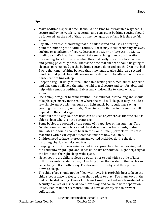#### **Tips:**

- Make bedtime a special time. It should be a time to interact in a way that is secure and loving, yet firm. A certain and consistant bedtime routine should be followed. At the end of that routine the lights go off and it is time to fall asleep.
- Pay attention to cues indating that the child is tired and use as a starting point for initiating the bedtime routine. These may include: rubbing his eyes, sucking on a paficier or fingers, decrease in activity or *increase* in activity.
- Finding a child's ideal bedtime will take some thought and consideration. In the evening, look for the time when the child really is starting to slow down and getting physically tired. That is the time that children should be going to sleep, so parents need get the bedtime routine done and get children into bed *before* that time. Waiting beyond that time tends to give children a second wind. At that point they will become more difficult to handle and will have a harder time falling asleep.
- Keep to a regular daily routine—the same waking time, meal times, nap time and play times will help the infant/child to feel secure and comfortable, and help with a smooth bedtime. Babies and children like to know what to expect.
- Use a simple, regular bedtime routine. It should not last too long and should take place primarily in the room where the child will sleep. It may include a few simple, quiet activities, such as a light snack, bath, cuddling, saying goodnight, and a story or lullaby. The kinds of activities in the routine will depend on the child's age.
- Make sure the sleep routines used can be used anywhere, so that the child is able to sleep wherever the parents are.
- Some babies are soothed by the sound of a vaporizer or fan running. This "white noise" not only blocks out the distraction of other sounds, it also simulates the sounds babies hear in the womb. Small, portable white noise machines with a variety of different sounds are now available.
- Children need to have interesting and varied activities during the day, including physical activity and fresh air.
- Keep lights dim in the evening as bedtime approaches. In the morning, get the child into bright light, and, if possible, take her outside. Light helps signal the brain into the right sleep‐wake cycle.
- Never soothe the child to sleep by putting her to bed with a bottle of juice, milk [or formula. Water is okay](http://www.med.umich.edu/yourchild/topics/#sep). Anything other than water in the bottle can cause baby bottle tooth decay. Feed or nurse the baby, and then put her down to sleep.
- The child's bed should not be filled with toys. It is probably best to keep the child's bed a place to sleep, rather than a place to play. Too many toys in the bed can be distracting. One or two transitional objects--like a f[avorite doll,](http://www.med.umich.edu/yourchild/topics/#sep) a security blanket, or a special book--are okay, and can help with separation [issues](http://www.med.umich.edu/yourchild/topics/#sep). Babies under six months should have an empty crib to prevent suffocation.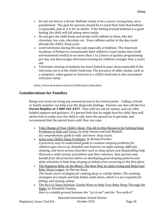- Do not use bed as a threat. Bedtime needs to be a secure, loving time, not a punishment. The goal for parents should be to teach their kids that bedtime is enjoyable, just as it is for us adults. If the feeling around bedtime is a good feeling, the child will fall asleep more easily.
- Do not give the child foods and drinks with caffeine in them, like hot chocolate, tea, cola, chocolate, etc. Even caffeine earlier in the day could disrupt the child's sleep cycle.
- Limit television during the day and especially at bedtime. The American Academy of Pediatrics recommends limit children's total media time (with entertainment media) to no more than 1 to 2 hours of quality programming per day and discourages television viewing for children younger than 2 years old.
- Television viewing at bedtime has been linked to poor sleep especially if the television set is in the child's bedroom. The presence of other media, such as a computer, [video games](http://www.med.umich.edu/yourchild/topics/video.htm) or [Internet](http://www.med.umich.edu/yourchild/topics/internet.htm) in a child's bedroom is also associated with poor sleep.

(http://www.med.umich.edu/yourchild/topics/sleep.htm)

# **Considerations for Families**

Being over tired can bring any normal person to her lowest point. Calling a friend or family member can help ease the desparate feelings. Parents can also call the free *Parent Helpline at 18009424357.* They will not ask for names, and can offer helpful support and guidance. If a parent feels that he might hurt his child, they will advise him to make sure the child is safe, have the parent try to get help, and recommend that the parent leave until they can cope.

- Take Charge of Your Child's Sleep: The All-In-One Resource for Solving Sleep Problems in Kids and Teens, by Judy Owens and Jodi Mindell. *An comprehensive guide to kids' and teens' sleep issues.*
- Solve your Child's Sleep Problems, by Richard Ferber. *A practical, easytounderstand guide to common sleeping problems for children ages one to six. Detailed case histories on night waking, difficulty sleeping, and more serious disorders such as sleep apnea and sleepwalking help illustrate a wide variety of problems and their solutions. New parents may benefit from the proactive advice on developing good sleeping patterns and daily schedules to help keep sleeping problems from occurring in the first place.*
- The Happiest Baby on the Block: The New Way to Calm Crying and Help Your Baby Sleep Longer, by Harvey Karp. *This book covers strategies for calming fussy or colicky babies. The soothing strategies are simple and help babies settle down, which is a prerequisite for falling, and staying, asleep.*
- The No-Cry Sleep Solution: Gentle Ways to Help Your Baby Sleep Through the Night, by Elizabeth Pantley. *Here is a middle ground between the "cryitout" and the "livewithit"*

#### Macomb Intermediate School District Regulatory Issues Tool Kit October 2010 Page 26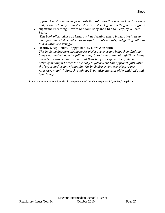*approaches. This guide helps parents find solutions that will work best for them and for their child by using sleep diaries or sleep logs and setting realistic goals.*

• Nighttime Parenting: How to Get Your Baby and Child to Sleep, by William Sears.

*This book offers advice on issues such as deciding where babies should sleep, what foods may help children sleep, tips for single parents, and getting children to bed without a struggle.*

• Healthy Sleep Habits, Happy Child, by Marc Weisbluth. *This book teaches parents the basics of sleep science and helps them find their baby's optimal window for falling asleep both for naps and at nighttime.. Many parents are startled to discover that their baby is sleep deprived, which is actually making it harder for the baby to fall asleep! This approach falls within the "cryitout" school of thought. The book also covers teen sleep issues. Addresses mainly infants through age 3, but also discusses older children's and teens' sleep.*

Book recommendations found at http://www.med.umich.edu/yourchild/topics/sleep.htm.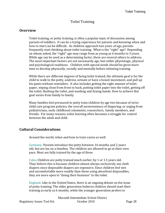# Toilet Training

#### **Overview**

Toilet training, or potty training, is often a popular topic of discussion among parents of toddlers. It can be a trying experience for parents and knowing when and how to start can be difficult. As children approach two years of age, parents frequently start thinking about toilet training. What is the "right" age? Depending on whom asked, the "right" age may range from as young as 6 months to 3 years. While age can be used as a determining factor, there are several others to address. The most important factors are not necessarily age, but rather physiologic, physical and psychological readiness. Children with special needs should be given more time to develop physically, socially and mentally before initiating training.

 goal varies from family to family. While there are different degrees of being toilet trained, the ultimate goal is for the child to walk to the potty, undress, urinate or have a bowel movement, and pull up his pants without reminders. It also includes getting the right amount of toilet paper, wiping clean from front to back, putting toilet paper into the toilet, getting off the toilet, flushing the toilet, and washing and drying hands. How to achieve this

Many families feel pressured to potty train children by age two because of strict child care program policies; the overall inconvenience of diapering; or urging from pediatricians, early childhood columnists, researchers, family members, and friends. For many reasons, toilet learning often becomes a struggle for control between the adult and child.

## **Cultural Considerations**

Around the world, when and how to train varies as well.

Germany: Parents introduce the potty between 16 months and 2 years old, but are lax on a timeline. The children are allowed to go at their own pace. Most are fully trained by the age of three.

 Cuba: Children are potty trained much earlier, by 1 or 1.5 years old. They believe this is because children almost always exclusively use cloth diapers since disposable diapers are expensive. Since children feel wet and uncomfortable more readily than those using absorbent disposables, they are more open to "doing their business" in the toilet.

England: Like in the United States, there is an ongoing debate on the issue of potty training. The older generation believes children should start their training as early as 6 months, while the younger generation prefers to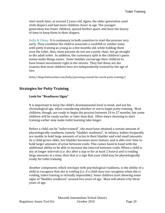start much later, at around 2 years old. Again, the older generation used cloth diapers and had more children closer in age. The younger generation has fewer children, spaced further apart, and have the luxury of time to keep them in their diapers.

India & China: It is customary in both countries to start the process very early. They condition the child to associate a *sssshhhh* or similar noise with potty training as young as a few months old, while holding them over the toilet. Also, most parents do not use a potty chair, but go straight to the adult toilet. In addition, the customary split in the children's pants seems make things easier. Some families encourage their children to have bowel movements right in the streets. They feel these are the reasons that most children here are independently trained by the age of two.

([http://blogs.babiesonline.com/baby/parenting‐around‐the‐world‐potty‐training/](http://blogs.babiesonline.com/baby/parenting-around-the-world-potty-training/))

# **Strategies for Potty Training**

#### **Look for "Readiness Signs"**

It is important to keep the child's developmental level in mind, and not his chronological age, when considering whether or not to begin potty training. Most children, though, are ready to begin the process between 24 to 27 months, but some children will be ready earlier or later than that. Often times choosing to start training earlier may make toilet learning take longer.

Before a child can be "toilet trained", she must have attained a certain amount of physiologically readiness, namely "bladder readiness". In infancy, babies frequently are unable to hold large amounts of urine in their bladder and void small amounts. As a child grows older, her bladder becomes more mature, and is able over time to hold larger amounts of urine between voids. This comes hand in hand with the additional ability to be able to increase the interval between voids. When a child is dry at longer intervals (i.e. dry after a nap or for at least 2 hours) and is voiding large amounts at a time, then that is a sign that your child may be physiologically ready for toilet training.

Another component, which overlaps with psychological readiness, is the ability of a child to recognize that she is voiding (i.e. if a child does not recognize when she is voiding, toilet training is virtually impossible). Some children start showing some signs of "bladder readiness" around two years of age. Most will attain it by three years of age.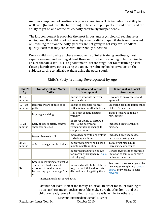Another component of readiness is physical readiness. This includes the ability to walk well (to and from the bathroom), to be able to pull pants up and down, and the ability to get on and off the toilet/potty chair fairly independently.

The last component is probably the most important: psychological readiness‐or willingness. If a child is not bothered by a wet or dirty diaper, if she is uninterested or unwilling to sit on the potty, parents are not going to get very far. Toddlers quickly learn that they can control their bodily functions.

 subject, starting to talk about them using the potty soon). Once a child is showing all these components of toilet training readiness, most experts recommend waiting at least three months before starting toilet training to ensure that all is set. This is a good time to "set the stage" for toilet training as well (letting her observe others using the toilet, introducing books or videos on the

| Child's<br>Age      | <b>Physiological and Motor</b><br><b>Skills</b>                                                                                  | <b>Cognitive and Verbal</b><br>Development                                                                | <b>Emotional and Social</b><br><b>Awareness</b>                                                            |
|---------------------|----------------------------------------------------------------------------------------------------------------------------------|-----------------------------------------------------------------------------------------------------------|------------------------------------------------------------------------------------------------------------|
| $0 - 12$<br>months  |                                                                                                                                  | Begins to associate between<br>cause and effect                                                           | Develops to enjoy praise and<br>approval                                                                   |
| $12 - 18$<br>months | Becomes aware of need to go<br>potty                                                                                             | Begins to associate fullness<br>with eliminations that follows                                            | Emerging desire to mimic other<br>children's behavior                                                      |
|                     | May begin walking                                                                                                                | May begin communicating<br>verbally                                                                       | Takes pleasure in doing it<br>him/herself.                                                                 |
| 18-24<br>months     | Early ability to briefly control<br>sphincter muscles                                                                            | Improves ability to picture a<br>goal (using potty) and<br>remember it long enough to<br>complete the act | Increased urge toward self<br>mastery                                                                      |
|                     | Better able to sit still                                                                                                         | Increased ability to understand<br>verbal explanations                                                    | Increased desire to please<br>parents and win praise                                                       |
| 24-36<br>months     | Able to manage simple clothing                                                                                                   | Improved memory helps child<br>maintain potty routine                                                     | Takes great pleasure in<br>increasing competence                                                           |
|                     |                                                                                                                                  | Improved imagination allows<br>for learning through play (dolls,<br>role playing)                         | Gender awareness encourages<br>imitation of same sex parent's<br>bathroom behavior                         |
| $3+$                | Gradually maturing of digestive<br>system eventually leads to<br>decrease of accidents and<br>bedwetting by around age 5 or<br>6 | Improved ability to break focus<br>to go to the toilet and to resist<br>distraction while getting there   | Peer pressure encourages toilet<br>use. Enjoys completing sticker<br>charts and working to earn<br>rewards |

# Child's Potty Training Development by Age

American Academy of Pediatrics

Last but not least, look at the family situation. In order for toilet training to be as painless and smooth as possible, make sure that the family and the child are ready. Some kids toilet train quite easily, while for others it

Macomb Intermediate School District

Regulatory Issues Tool Kit Correction Correction Correction Page 30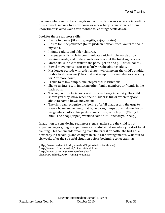becomes what seems like a long drawn out battle. Parents who are incredibly busy at work, moving to a new house or a new baby is due soon, let them know that it is ok to wait a few months to let things settle down.

Look for these readiness skills:

- Desire to please (likes to give gifts, enjoys praise).
- Desire for independence (takes pride in new abilities, wants to "do it myself").
- Imitates adults and older children.
- Language skills: able to communicate (with simple words or by signing) needs, and understands words about the toileting process.
- Motor skills: able to walk to the potty, get on and pull down pants .
- Bowel movements occur on a fairly predictable schedule.
- Has longer periods with a dry diaper, which means the child's bladder is able to store urine. (The child wakes up from a nap dry, or stays dry for 2 or more hours).
- Is able to follow simple, one-step verbal instructions.
- Shows an interest in imitating other family members or friends in the bathroom.
- Through words, facial expressions or a change in activity, the child shows you they know when their bladder is full or when they are about to have a bowel movement .
- The child can recognize the feeling of a full bladder and the urge to have a bowel movement; that is, he paces, jumps up and down, holds his genitals, pulls at his pants, squats down, or tells you. (Clarify for him: "The poop (or pee) wants to come out. It needs your help.)

In addition to considering readiness signals, make sure the child is not experiencing or going to experience a stressful situation when you start toilet training. This can include weaning from the breast or bottle, the birth of a new baby in the family, and changes in child care arrangements. Wait four to six weeks after the stressful situation before beginning [t](http://www.med.umich.edu/yourchild/topics/toilet.htm#books)oilet training.

([http://www.med.umich.edu/yourchild/topics](http://www.parentingme.com/toiltrng.htm)/to[ile](http://www.cdl.unc.edu/link/toilettraining1.htm)t.htm#books) (http://www.cdl.unc.edu/link/toilettraining[1.](http://www.parentingme.com/toiltrng.htm)htm) (http://www.parentingme.com/toiltrng.htm) Chou M.D., Belinda, Potty Training Readiness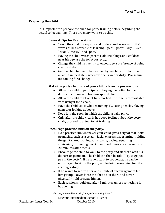#### **Preparing the Child**

It is important to prepare the child for potty training before beginning the actual toilet training. There are many ways to do this.

#### **General Tips for Preparation**

- Teach the child to say/sign and understand as many "potty" words as he is capable of learning: "pee", "poop", "dry", "wet", "clean", "messy", and "potty".
- Having the child watch parents, older siblings, and children near his age use the toilet correctly.
- Change the child frequently to encourage a preference of being clean and dry.
- Get the child to like to be changed by teaching him to come to an adult immediately whenever he is wet or dirty. Praise him for coming for a change.

#### **Make the potty chair one of your child's favorite possessions.**

- Allow the child to participate in buying the potty chair and decorate it to make it his own special chair.
- Allow the child to sit on it fully clothed until she is comfortable with using it for a chair.
- Have the child use it while watching TV, eating snacks, playing games, or looking at books.
- Keep it in the room in which the child usually plays.
- Only after the child clearly has good feelings about the potty chair, proceed to actual toilet training.

## **Encourage practice runs on the potty.**

- Do a practice run whenever your child gives a signal that looks promising, such as a certain facial expression, grunting, holding the genital area, pulling at his pants, pacing, squatting, squirming, or passing gas. Other good times are after naps or 20 minutes after meals.
- Encourage the child to walk to the potty and sit there with his diapers or pants off. The child can then be told, "Try to go pee pee in the potty". If he is reluctant to cooperate, he can be encouraged to sit on the potty while doing something fun like reading a story.
- If he wants to get up after one minute of encouragement let him get up. Never force the child to sit there and never physically hold or strap him in.
- Each session should end after 5 minutes unless something is happening.

(http://www.cdl.unc.edu/link/toilettraining1.htm)

[Macomb Intermediate School District](http://www.cdl.unc.edu/link/toilettraining1.htm)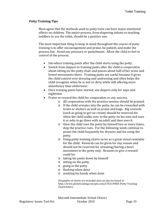#### **Potty Training Tips**

Most agree that the methods used to potty train can have major emotional effects on children. The entire process, from diapering infants to teaching toddlers to use the toilet, should be a positive one.

The most important thing to keep in mind throughout the course of potty training is to offer encouragement and praise, be patient, and make the process fun. Avoid any pressure or punishment. Allow the child to feel in control of the process.

- Introduce training pants after the child starts using the potty.
- Switch from diapers to training pants after the child is cooperative about sitting on the potty chair and passes about half of her urine and bowel movements there. Training pants are useful because it gives the child control over dressing and undressing and often helps the child recognize when he is wet or dirty while still offering more absorbency than underwear.
- Once training pants have started, use diapers only for naps and nighttime.
- Praise or reward the child for cooperation or any success.
	- o All cooperation with the practice session should be praised.
	- o If the child urinates into the potty, he can be rewarded with treats or stickers as well as praise and hugs. Big rewards (such as going to get ice cream) should be reserved for when the child walks over to the potty on his own and uses it or asks to go there with an adult and then uses it.
	- o Once the child uses the potty by himself two or more times, stop the practice runs. For the following week continue to praise the child frequently for dryness and for using the potty.
	- o Using potty training charts serve as a great visual reminder for the child. Rewards can be given for any reason and should not be reserved for urinating/having a bowl movement in the potty only. Reasons to give a reward could be:
	- o taking his pants down by himself
	- o sitting on the potty
	- o going in the potty
	- o flushing when done
	- o washing his hands when done

(Examples of charts are included and can also be found at http://www.pottytrainingconcepts.com/CTGY/FREE‐Potty‐Training‐ Charts.html.)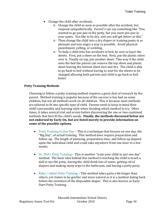- Change the child after accidents.
	- o Change the child as soon as possible after the accident, but respond sympathetically. Parent's can say something like "You wanted to go pee‐pee in the potty, but you went pee‐pee in your pants. You like to be dry, and you will get better at this."
	- o Then change the child into a dry diaper or training pants in as pleasant and non‐angry a way as possible. Avoid physical punishment, yelling, or scolding.
	- o To help a child who has accidents in bed, be sure to layer the sheets. First, put a sheet on the bed. Next, put the plastic sheet over it. Finally on top, put another sheet. This way if the child wets the bed the parent can remove the top sheet and plastic sheet leaving the bottom sheet nice and dry. The child is able to go back to bed without having to wait for the sheets to be changed allowing both parents and child to go back to bed faster.

#### **Potty Training Methods**

Choosing to follow a potty training method requires a great deal of research by the parent. Method training is popular because of the success is has had on some children, but not all methods work on all children. This is because most methods are tailored to fit one specific type of child. Parents need to keep in mind their child's personality and learning style when deciding which method to try. Often times, it takes several trial and errors before discovering the one or two combined methods that best fit the child's needs. **Finally, the methods discussed below are not endorsed by Early On, but are listed merely to provide information on some of the possible options.** 

- Potty Training in One Day This is a technique that focuses on one day, the "Big Day", of actual training. This method does require preparation and follow‐up. The length of planning, preparation time, and follow up depend upon the individual child and could take anywhere from one hour to a few weeks.
- Dr. Phil's Potty Training This is another "train your child in just one day" method. The basic idea behind this method is teaching the child to teach a doll to use the potty, having the child drink lots of water, getting rid of diapers and making many trips to the bathroom, and having a potty party.
- Baby / Infant Potty Training This method takes quite a bit longer than others, yet claims to be gentler and more natural as it is a method dating back before the invention of the disposable diaper. This is also known as Early Start Potty Training.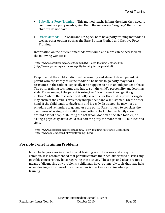- Baby Signs Potty Training This method teachs infants the signs they need to communicate potty needs giving them the necessary "language" that some children do not have.
- Other Methods Dr. Sears and Dr. Spock both have potty training methods as well as other options such as the Bare‐Bottom Method and Creative Potty Training.

Information on the different methods was found and more can be accessed on the following websites:

([http://www.pottytrainingconcepts.com/CTGY/Potty‐Training‐Meth](http://www.parentingscience.com/potty-training-techniques.html)ods.htm[l\)](http://www.pottytrainingconcepts.com/CTGY/Potty-Training-Methods.html)  (http://www.parentingscience.com/potty‐training‐techniques.html)

Keep in mind the child's individual personality and stage of development. A parent who constantly asks the toddler if he needs to go potty may spark resistance in the toddler, especially if he happens to be in an independent phase. The potty training technique also has to suit the child's personality and learning style. For example, if the parent is using the "Practice until you get it right method" where there is a defined potty schedule for the child, a power struggle may ensue if the child is extremely independent and a self‐starter. On the other hand, if the child tends to daydream and is easily distracted, he may need a schedule and reminders to go and use the potty. Parents need to consider the usefulness of asking a shy child to use potty in the kitchen or family room around a lot of people; shutting the bathroom door on a sociable toddler; or asking a physically active child to sit on the potty for more than 3‐5 minutes at a time.

([http://www.pottytrainingconcepts.com/A‐Potty‐T](http://www.cdl.unc.edu/link/toilettraining1.htm)raining‐Resistance‐Details.html) (http://www.cdl.unc.edu/link/toilettraining1.htm)

## **Possible Toilet Training Problems**

Most challenges associated with toilet training are not serious and are quite common. It is recommended that parents contact their pediatricians to discuss any possible concerns they have regarding these issues. These tips and ideas are not a means of diagnosing any problems a child may have, but merely tools that may help when dealing with some of the non-serious issues that can arise when potty training.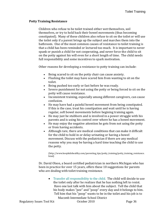#### **Potty Training Resistance**

Children who refuse to be toilet trained either wet themselves, soil themselves, or try to hold back their bowel movements (thus becoming constipated). Many of these children also refuse to sit on the toilet or will use the toilet only if a parent brings up the subject and marches them into the bathroom. One of the most common causes of resistance to toilet training is that a child has been reminded or lectured too much. It is important to never spank or punish a child for not cooperating, and never force the child to sit on the potty against his will even for a short length of time. The child needs full responsibility and some incentives to spark motivation.

Other reasons for developing a resistance to potty training can include:

- Being scared to sit on the potty chair can cause anxiety.
- Flushing the toilet may have scared him from wanting to sit on the toilet.
- Being pushed too early or fast before he was ready.
- Severe punishment for not using the potty or being forced to sit on the potty will cause resistance.
- Inconsistent training, especially among different caregivers, can cause confusion.
- He may have had a painful bowel movement from being constipated. If this is the case, treat his constipation and wait until he is having regular, soft bowel movements before begining training again.
- He may just be stubborn and is involved in a power struggle with his parents and is using his control over where he has a bowel movement.
- He may enjoy the negative attention he gets from not using the potty or from having accidents.
- Although rare, there are medical conditions that can make it difficult for the child to hold in or delay urinating or having a bowel movement. Discuss with the pediatrician if there are any medical reasons why you may be having a hard time teaching the child to use the potty.

[\(http://www.keepkidshealthy.com/parenting\\_tips/potty\\_training/potty\\_training\\_resistance.](http://www.keepkidshealthy.com/parenting_tips/potty_training/potty_training_resistance.html) html)

Dr. David Olson, a board certified pediatrician in northern Michigan who has been in practice for over 15 years, offers these 10 suggestions for parents who are dealing with toilet training resistance.

• Transfer all responsibility to the child. The child will decide to use the toilet only after he realizes that he has nothing left to resist. Have one last talk with him about the subject. Tell the child that his body makes "pee" and "poop" every day and it belongs to him. Tell him that his "poop" wants to be in the toilet and his job is to

Macomb Intermediate School District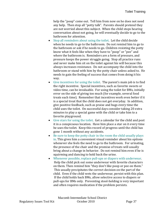help the "poop" come out. Tell him from now on he does not need any help. Then stop all "potty talk". Parents should pretend they are not worried about this subject. When the child stops hearing conversation about not going, he will eventually decide to go to the bathroom for attention.

- Stop all reminders about using the toilet. Let the child decide when he needs to go to the bathroom. Do not remind him to go to the bathroom or ask if he needs to go. Children resisting the potty know what it feels like when they have to "poop" or "pee" and where the bathroom is. Reminders are a form of pressure, and pressure keeps the power struggle going. Stop all practice runs and never make him sit on the toilet against his will because this always increases resistance. Do not accompany the child into the bathroom or stand with him by the potty chair unless asked to. He needs to gain the feeling of success that comes from doing it his way.
- Give incentives for using the toilet. The parent's main job is to find the right incentive. Special incentives, such as favorite sweets or video time, can be invaluable. For using the toilet for BMs, initially error on the side of giving too much (for example, several food treats each time). Remember that incentives work even better if it is a special treat that the child does not get everyday. In addition, give positive feedback, such as praise and hugs every time the child uses the toilet. On successful days consider taking 20 extra minutes to play a special game with the child or take him to a favorite playground.
- Give stars for using the toilet. Get a calendar for the child and post it in a conspicuous location. Have him place a star on it every time he uses the toilet. Keep this record of progress until the child has gone 1 month without any accidents.
- Be sure to keep the potty chair in the room the child usually plays in. This gives him a convenient visual reminder about his options whenever she feels the need to go to the bathroom. For urinating, the presence of the chair and the promise of treats will usually bring about a change in behavior. Do not remind him even if he is squirming and dancing to hold back the urine.
- Whenever possible, replace pull-ups or diapers with underwear. Help the child pick out some underwear with favorite characters on them. Then remind him "they don't like poop or pee on them." This usually precipitates the correct decision on the part of the child. Even if the child wets the underwear, persist with this plan. If the child holds back BMs, allow selective access to diapers or pull‐ups for BMs only. Preventing stool‐holding is very important and often requires medication if the problem persists.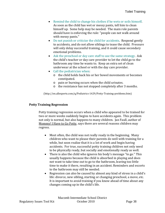- Remind the child to change his clothes if he wets or soils himself. As soon as the child has wet or messy pants, tell him to clean himself up. Some help may be needed. The main role parents should have is enforcing the rule: "people can not walk around with messy pants."
- Do not punish or criticize the child for accidents. Respond gently to accidents, and do not allow siblings to tease the child. Pressure will only delay successful training, and it could cause secondary emotional problems.
- Ask the preschool or day care staff to use the same strategy. Ask the child's teacher or day care provider to let the child go to the bathroom any time he wants to. Keep an extra set of clean underwear at the school or with the day care provider.
- Call the pediatrician when:
	- o the child holds back his or her bowel movements or becomes constipated.
	- o pain or burning occurs when the child urinates.
	- o the resistance has not stopped completely after 3 months.

([http://en.allexperts.com/q/Pediatrics‐1429/Potty‐Training‐problems.htm](http://en.allexperts.com/q/Pediatrics-1429/Potty-Training-problems.htm))

#### **Potty Training Regression**

Potty training regression occurs when a child who appeared to be trained for two or more weeks suddenly begins to have accidents again. This problem not only is normal, but also happens to many children. Jan Faull, author of Mommy! I Have to Go Potty, says there are several reasons children may regress.

- Most often, the child was not really ready in the beginning. Many children who want to please their parents do well with training for a while, but soon realize that it is a lot of work and begin having accidents. For true, successful potty training children not only need to be physically ready, but socially and emotionally ready as well.
- There is also the child who ignores his body's message "to go." This usually happens because the child is absorbed in playing and does not want to take time out to go to the bathroom, leaving too little time to make it there, resulting in an accident. Reminders and escorts to the bathroom may still be needed.
- Regression can also be caused by almost any kind of stress in a child's life: divorce, new sibling, starting or changing preschool, a move, etc. It is important to avoid training if you know ahead of time about any changes coming up in the child's life.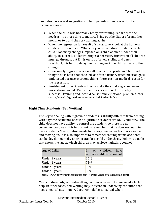Faull also has several suggestions to help parents when regression has become apparent.

- When the child was not really ready for training, realize that she needs a little more time to mature. Bring out the diapers for another month or two and then try training again
- When the regression is a result of stress, take a look at the home or childcare environment. What can you do to reduce the stress on the child? Too many changes imposed on a child at once hinder their ability to succeed. Toilet training is a necessary frustration all children must go through, but if it is on top of a new sibling and a new preschool, it is best to delay the training until the child adjusts to the changes.
- Occasionally regression is a result of a medical problem. The smart thing to do is have that checked, as often a urinary tract infection goes undetected because everyone thinks there is a non‐medical reason for the regression.
- Punishment for accidents will only make the child angry and even more strong‐willed. Punishment or criticism will only delay successful training and it could cause some emotional problems later. (http://www.kidsgrowth.com/resources/advicedetail.cfm)

#### **Night Time Accidents (Bed Wetting)**

The key to dealing with nighttime accidents is slightly different from dealing with daytime accidents, because nighttime accidents are NOT voluntary. The child does not have ability to control the accident, so there are no consequences given. It is important to remember that he does not want to have accidents. The situation needs to be very neutral with a quick clean up and moving on. It is also important to remember that nighttime accidents can be developmentally appropriate for a child under three. Below is a table that shows the age at which children may achieve night time control.

| Age of Child  | % of children have<br>achieve night time control |
|---------------|--------------------------------------------------|
| Under 3 years | $66\%$                                           |
| Under 4 years | 75%                                              |
| Under 5 years | 80%                                              |
| Under 6 years | 85%                                              |

(http://www.pottytrainingconcepts.com/A‐Potty‐Accidents‐Nighttime.html)

Most children outgrow bed‐wetting on their own — but some need a little help. In other cases, bed-wetting may indicate an underlying condition that needs medical attention. A doctor should be consulted when: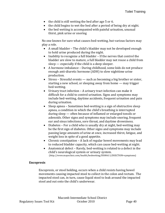- the child is still wetting the bed after age 5 or 6.
- the child begins to wet the bed after a period of being dry at night.
- the bed wetting is accompanied with painful urination, unusual thirst, pink urine or snoring

No one knows for sure what causes bed‐wetting, but various factors may play a role.

- A small bladder The child's bladder may not be developed enough to hold urine produced during the night.
- Inability to recognize a full bladder If the nerves that control the bladder are slow to mature, a full bladder may not rouse a child from sleep — especially if the child is a deep sleeper.
- A hormone imbalance During childhood, some kids do not produce enough anti‐diuretic hormone (ADH) to slow nighttime urine production.
- Stress Stressful events such as becoming a big brother or sister, starting a new school, or sleeping away from home — may trigger bed‐wetting.
- Urinary tract infection A urinary tract infection can make it difficult for a child to control urination. Signs and symptoms may include bed‐wetting, daytime accidents, frequent urination and pain during urination.
- Sleep apnea Sometimes bed-wetting is a sign of obstructive sleep apnea, a condition in which the child's breathing is interrupted during sleep — often because of inflamed or enlarged tonsils or adenoids. Other signs and symptoms may include snoring, frequent ear and sinus infections, sore throat, and daytime drowsiness.
- Diabetes For a child who is usually dry at night, bed-wetting may be the first sign of diabetes. Other signs and symptoms may include passing large amounts of urine at once, increased thirst, fatigue, and weight loss in spite of a good appetite.
- Chronic constipation A lack of regular bowel movements may lead to reduced bladder capacity, which can cause bed‐wetting at night.
- Anatomical defect Rarely, bed‐wetting is related to a defect in the child's neurological system or urinary system. (http://www.mayoclinic.com/health/bedwetting/DS00611/DSECTION=symptoms)

#### **Encopresis**

Encopresis, or stool holding, occurs when a child resists having bowel movements causing impacted stool to collect in the colon and rectum. The impacted stool can, in turn, cause liquid stool to leak around the impacted stool and out onto the child's underwear.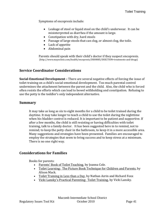Symptoms of encopresis include:

- Leakage of stool or liquid stool on the child's underwear. It can be misinterpreted as diarrhea if the amount is large.
- Constipation with dry, hard stools
- Passage of large stools that can clog, or almost clog, the toile.
- Lack of appetite
- Abdominal pain

Parents should speak with their child's doctor if they suspect encopresis. (http://www.mayoclinic.com/health/encopresis/DS00885/DSECTION=treatments‐and‐drugs)

## **Service Coordinator Considerations**

**SocialEmotional Development –** There are several negative effects of forcing the issue of toilet training on a child's social‐emotional development. Too much parental control undermines the attachment between the parent and the child. Also, the child who is forced often resists the efforts which can lead to bowel withholding and constipation. Refusing to use the potty is the toddler's only independent alternative.

## **Summary**

It may take as long as six to eight months for a child to be toilet trained during the daytime. It may take longer to teach a child to use the toilet during the nighttime when his bladder control is reduced. It is important to be patient and supportive. If after a few months, the child is still resisting or having difficulties with toilet training, talk to a family doctor. It has been suggested here in to remind, not to remind; to keep the potty chair in the bathroom, to keep it in a more accessible area. Many suggestions and strategies have been presented. Families are encouraged to employ the strategies that seem to bring success and to keep stress at a minimum. There is no one right way.

## **Considerations for Families**

Books for parents:

- Parents' Book of Toilet Teaching, by Joanna Cole.
- Toilet Learning: The Picture Book Technique for Children and Parents, by Alison Mack.
- Toilet Training in Less than a Day, by Nathan Azrin and Richard Foxx
- Vicki Lansky's Practical Parenting: Toilet Training, by Vicki Lansky.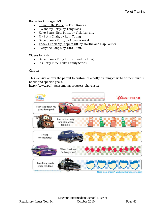Books for kids ages 1‐3:

- Going to the Potty, by Fred Rogers.
- I Want my Potty, by Tony Ross.
- Koko Bears' New Potty, by Vicki Lansky.
- My Potty Chair, by Ruth Young.
- Once Upon a Potty, by Alona Frankel.
- Today I Took My Diapers Off, by Martha and Hap Palmer.
- Everyone Poops, by Taro Gomi.

Videos for kids:

- Once Upon a Potty for Her (and for Him).
- It's Potty Time, Duke Family Series

Charts:

This website allows the parent to customize a potty training chart to fit their child's needs and specific goals.

http://www.pull‐ups.com/na/progress\_chart.aspx

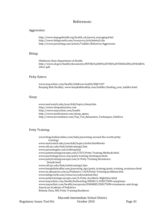#### References:

#### Aggression:

http://www.dupagehealth.org/health\_ed/parent\_managing.html http://www.kidsgrowth.com/resources/articledetail.cfm http://www.parenting.com/article/Toddler/Behavior/Aggression

#### Biting:

Oklahoma State Department of Health, http://www.ok.gov/health/documents/BITING%20IN%20THE%20TODDLER%20YEARS% 20rev.pdf

#### Picky Eaters:

www.mayoclinic.com/health/childrens‐health/HQ01107 Keeping Kids Healthy: [www.keepkidshealthy.com/toddler/feeding\\_your\\_toddler.html](http://www.keepkidshealthy.com/toddler/feeding_your_toddler.html)

#### Sleep:

www.med.umich.edu/yourchild/topics/sleep.htm http://www.sleepeducation.com http://www.mayoclinic.com/health http://www.medicinenet.com/sleep\_apnea http://stress.lovetoknow.com/Top\_Ten\_Relaxation\_Techniques\_Children

#### Potty Training:

[www.blogs.babiesonline.com/baby/parenting‐around‐the](http://www.med.umich.edu/yourchild/topics/toilet.htm#books)‐world‐potty‐ training/ [www.med.umich.edu/yourchild/top](http://www.parentingme.com/toiltrng.htm)[i](http://www.pottytrainingconcepts.com/CTGY/Potty-Training-Methods.html)[cs/to](http://www.cdl.unc.edu/link/toilettraining1.htm)[ilet.htm#books](http://www.med.umich.edu/yourchild/topics/toilet.htm#books) [www.cdl.unc.edu/link/toilettraining1](http://www.parentingscience.com/potty-training-techniques.html).htm www.parentingme.com/toiltrng.htm [www.pottytrainingconcepts.com/CTGY/Potty‐Training‐Methods.ht](http://www.pottytrainingconcepts.com/A-Potty-Training-Resistance-)ml www.parentingscience.com/potty‐training‐techniques.html [www.pottytrainingco](http://www.cdl.unc.edu/link/toilettraining1.htm)[ncepts.com/A‐Potty‐Training‐Resistan](http://www.pottytrainingconcepts.com/A-Potty-Training-Resistance-)ce[‐](http://www.pottytrainingconcepts.com/A-Potty-Training-Resistance-)  Details.html www.cdl.unc.edu/link/toilettraining1.htm [www.keepkidshealthy.com/parenting\\_tip](http://en.allexperts.com/q/Pediatrics-1429/Potty-Training-problems.htm)[s/potty\\_tra](http://www.kidsgrowth.com/resources/advicedetail.cfm)[ining/potty\\_tra](http://www.pottytrainingconcepts.com/A-Potty-Accidents-Nighttime.html)ining\_resistance.html www.en.allexperts.com/q/Pediatrics‐1429/Potty‐Training‐problems.htm www.kidsgrowth.com/resources/advicedetail.cfm) [www.pottytrainingconcepts.com/A‐Potty‐Accident](http://www.mayoclinic.com/health/bedwetting/DS00611/DSECTION=symptoms)s‐Nighttime.html [www.mayoclinic.com/health/bedwetting/DS00611/DSECTION=sym](http://www.mayoclinic.com/health/encopresis/DS00885/DSECTION=treatments-and-drugs)ptoms www.mayoclinic.com/health/encopresis/DS00885/DSECTION=treatments-and-drugs American Academy of Pediatrics Belinda Chou, MD, Potty Training Readiness